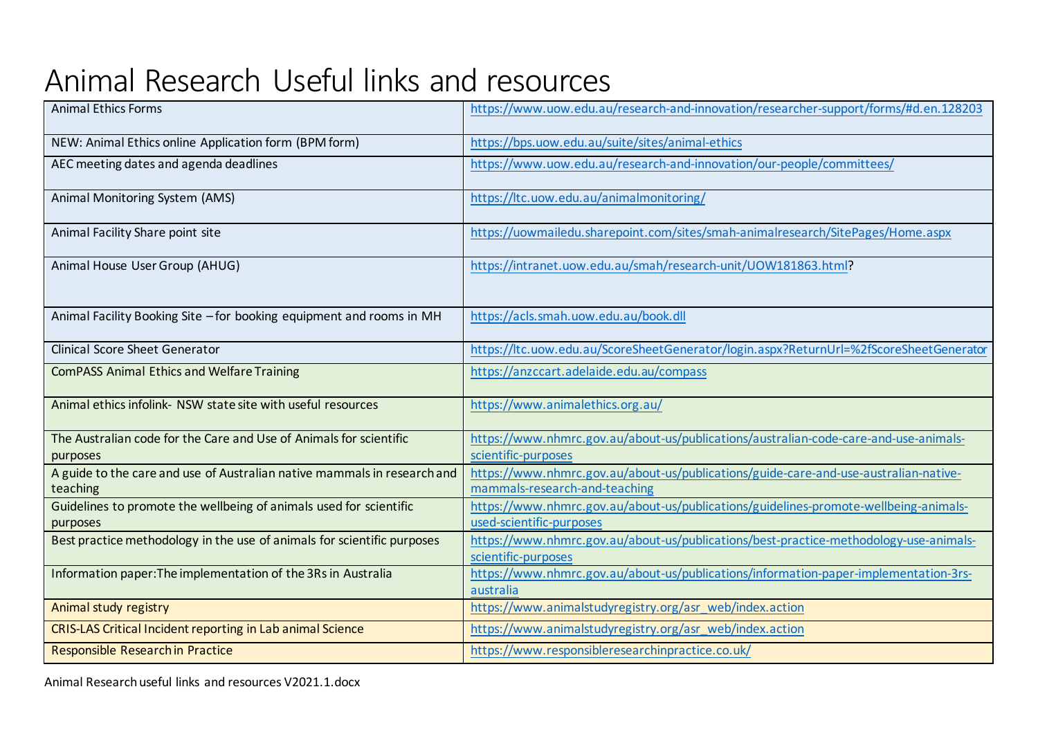## Animal Research Useful links and resources

| <b>Animal Ethics Forms</b>                                                           | https://www.uow.edu.au/research-and-innovation/researcher-support/forms/#d.en.128203                                  |  |
|--------------------------------------------------------------------------------------|-----------------------------------------------------------------------------------------------------------------------|--|
| NEW: Animal Ethics online Application form (BPM form)                                | https://bps.uow.edu.au/suite/sites/animal-ethics                                                                      |  |
| AEC meeting dates and agenda deadlines                                               | https://www.uow.edu.au/research-and-innovation/our-people/committees/                                                 |  |
| Animal Monitoring System (AMS)                                                       | https://ltc.uow.edu.au/animalmonitoring/                                                                              |  |
| Animal Facility Share point site                                                     | https://uowmailedu.sharepoint.com/sites/smah-animalresearch/SitePages/Home.aspx                                       |  |
| Animal House User Group (AHUG)                                                       | https://intranet.uow.edu.au/smah/research-unit/UOW181863.html?                                                        |  |
| Animal Facility Booking Site - for booking equipment and rooms in MH                 | https://acls.smah.uow.edu.au/book.dll                                                                                 |  |
| <b>Clinical Score Sheet Generator</b>                                                | https://ltc.uow.edu.au/ScoreSheetGenerator/login.aspx?ReturnUrl=%2fScoreSheetGenerator                                |  |
| <b>ComPASS Animal Ethics and Welfare Training</b>                                    | https://anzccart.adelaide.edu.au/compass                                                                              |  |
| Animal ethics infolink- NSW state site with useful resources                         | https://www.animalethics.org.au/                                                                                      |  |
| The Australian code for the Care and Use of Animals for scientific<br>purposes       | https://www.nhmrc.gov.au/about-us/publications/australian-code-care-and-use-animals-<br>scientific-purposes           |  |
| A guide to the care and use of Australian native mammals in research and<br>teaching | https://www.nhmrc.gov.au/about-us/publications/guide-care-and-use-australian-native-<br>mammals-research-and-teaching |  |
| Guidelines to promote the wellbeing of animals used for scientific<br>purposes       | https://www.nhmrc.gov.au/about-us/publications/guidelines-promote-wellbeing-animals-<br>used-scientific-purposes      |  |
| Best practice methodology in the use of animals for scientific purposes              | https://www.nhmrc.gov.au/about-us/publications/best-practice-methodology-use-animals-<br>scientific-purposes          |  |
| Information paper: The implementation of the 3Rs in Australia                        | https://www.nhmrc.gov.au/about-us/publications/information-paper-implementation-3rs-<br>australia                     |  |
| Animal study registry                                                                | https://www.animalstudyregistry.org/asr_web/index.action                                                              |  |
| CRIS-LAS Critical Incident reporting in Lab animal Science                           | https://www.animalstudyregistry.org/asr_web/index.action                                                              |  |
| Responsible Research in Practice                                                     | https://www.responsibleresearchinpractice.co.uk/                                                                      |  |

Animal Research useful links and resources V2021.1.docx